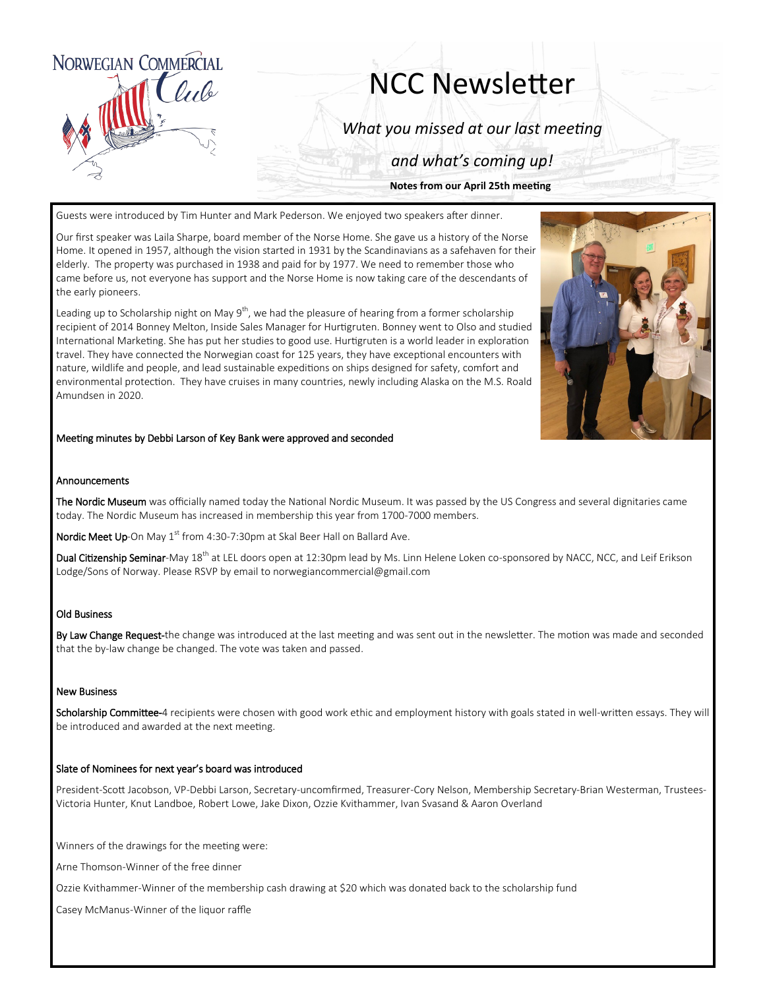

# NCC Newsletter

*What you missed at our last meeting*

*and what's coming up!*

**Notes from our April 25th meeting**

Guests were introduced by Tim Hunter and Mark Pederson. We enjoyed two speakers after dinner.

Our first speaker was Laila Sharpe, board member of the Norse Home. She gave us a history of the Norse Home. It opened in 1957, although the vision started in 1931 by the Scandinavians as a safehaven for their elderly. The property was purchased in 1938 and paid for by 1977. We need to remember those who came before us, not everyone has support and the Norse Home is now taking care of the descendants of the early pioneers.

Leading up to Scholarship night on May  $9^{th}$ , we had the pleasure of hearing from a former scholarship recipient of 2014 Bonney Melton, Inside Sales Manager for Hurtigruten. Bonney went to Olso and studied International Marketing. She has put her studies to good use. Hurtigruten is a world leader in exploration travel. They have connected the Norwegian coast for 125 years, they have exceptional encounters with nature, wildlife and people, and lead sustainable expeditions on ships designed for safety, comfort and environmental protection. They have cruises in many countries, newly including Alaska on the M.S. Roald Amundsen in 2020.



#### Meeting minutes by Debbi Larson of Key Bank were approved and seconded

#### Announcements

The Nordic Museum was officially named today the National Nordic Museum. It was passed by the US Congress and several dignitaries came today. The Nordic Museum has increased in membership this year from 1700-7000 members.

Nordic Meet Up-On May 1<sup>st</sup> from 4:30-7:30pm at Skal Beer Hall on Ballard Ave.

Dual Citizenship Seminar-May 18<sup>th</sup> at LEL doors open at 12:30pm lead by Ms. Linn Helene Loken co-sponsored by NACC, NCC, and Leif Erikson Lodge/Sons of Norway. Please RSVP by email to norwegiancommercial@gmail.com

#### Old Business

By Law Change Request-the change was introduced at the last meeting and was sent out in the newsletter. The motion was made and seconded that the by-law change be changed. The vote was taken and passed.

#### New Business

Scholarship Committee-4 recipients were chosen with good work ethic and employment history with goals stated in well-written essays. They will be introduced and awarded at the next meeting.

#### Slate of Nominees for next year's board was introduced

President-Scott Jacobson, VP-Debbi Larson, Secretary-uncomfirmed, Treasurer-Cory Nelson, Membership Secretary-Brian Westerman, Trustees-Victoria Hunter, Knut Landboe, Robert Lowe, Jake Dixon, Ozzie Kvithammer, Ivan Svasand & Aaron Overland

Winners of the drawings for the meeting were:

Arne Thomson-Winner of the free dinner

Ozzie Kvithammer-Winner of the membership cash drawing at \$20 which was donated back to the scholarship fund

Casey McManus-Winner of the liquor raffle